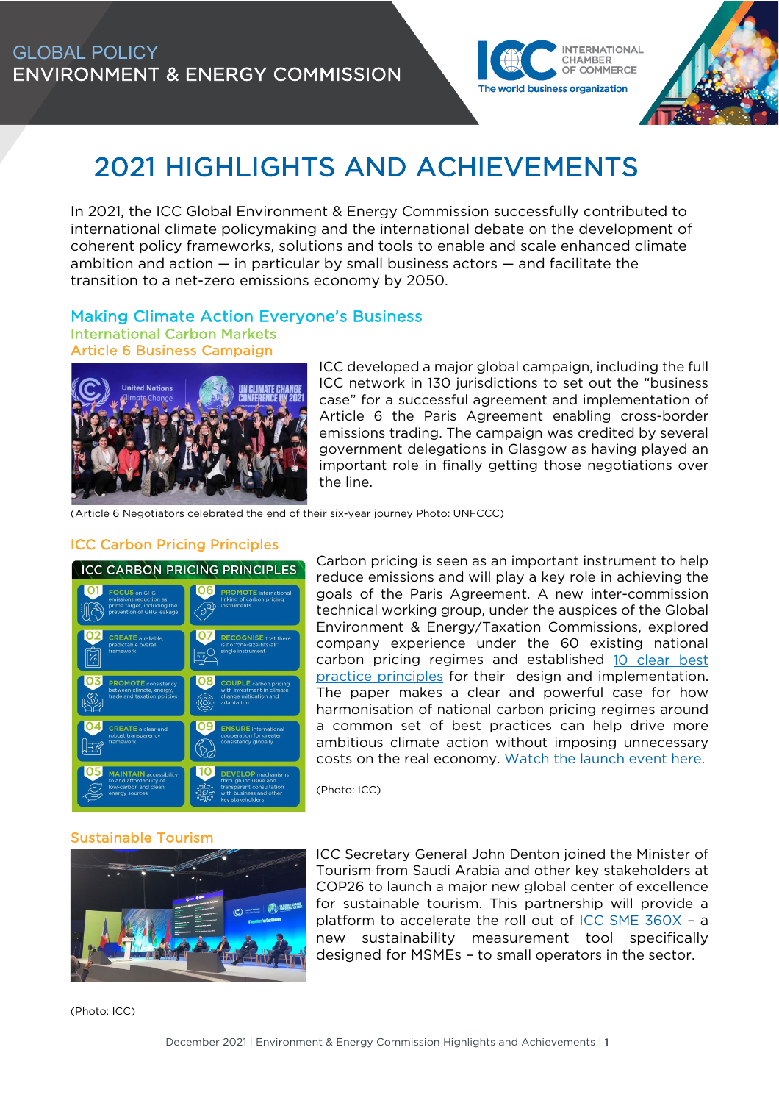

# 2021 HIGHLIGHTS AND ACHIEVEMENTS

In 2021, the ICC Global Environment & Energy Commission successfully contributed to international climate policymaking and the international debate on the development of coherent policy frameworks, solutions and tools to enable and scale enhanced climate ambition and action — in particular by small business actors — and facilitate the transition to a net-zero emissions economy by 2050.

## Making Climate Action Everyone's Business

International Carbon Markets Article 6 Business Campaign



ICC developed a major global campaign, including the full ICC network in 130 jurisdictions to set out the "business case" for a successful agreement and implementation of Article 6 the Paris Agreement enabling cross-border emissions trading. The campaign was credited by several government delegations in Glasgow as having played an important role in finally getting those negotiations over the line.

(Article 6 Negotiators celebrated the end of their six-year journey Photo: UNFCCC)

## ICC Carbon Pricing Principles



Carbon pricing is seen as an important instrument to help reduce emissions and will play a key role in achieving the goals of the Paris Agreement. A new inter-commission technical working group, under the auspices of the Global Environment & Energy/Taxation Commissions, explored company experience under the 60 existing national carbon pricing regimes and established 10 clear best [practice principles](https://iccwbo.org/publication/icc-carbon-pricing-principles/) for their design and implementation. The paper makes a clear and powerful case for how harmonisation of national carbon pricing regimes around a common set of best practices can help drive more ambitious climate action without imposing unnecessary costs on the real economy. [Watch the launch event here.](https://eur01.safelinks.protection.outlook.com/?url=https%3A%2F%2Fwe.tl%2Ft-44qTZh4hmM&data=04%7C01%7Csandra.hanni%40iccwbo.org%7Cc317aa2e118f45b7a48608d9d4417be9%7Cc541a3c6520b49ce82202228ac7c3626%7C0%7C0%7C637774199998177302%7CUnknown%7CTWFpbGZsb3d8eyJWIjoiMC4wLjAwMDAiLCJQIjoiV2luMzIiLCJBTiI6Ik1haWwiLCJXVCI6Mn0%3D%7C3000&sdata=9OgngZPK4Nc5C2Zdgs4AgoO0rTLVmIlHTL8fsNU17Eg%3D&reserved=0)

(Photo: ICC)

## Sustainable Tourism



ICC Secretary General John Denton joined the Minister of Tourism from Saudi Arabia and other key stakeholders at COP26 to launch a major new global center of excellence for sustainable tourism. This partnership will provide a platform to accelerate the roll out of [ICC SME 360X](https://iccwbo.org/resources-for-business/small-and-medium-sized-enterprises-smes/icc-sme360x/) - a new sustainability measurement tool specifically designed for MSMEs – to small operators in the sector.

(Photo: ICC)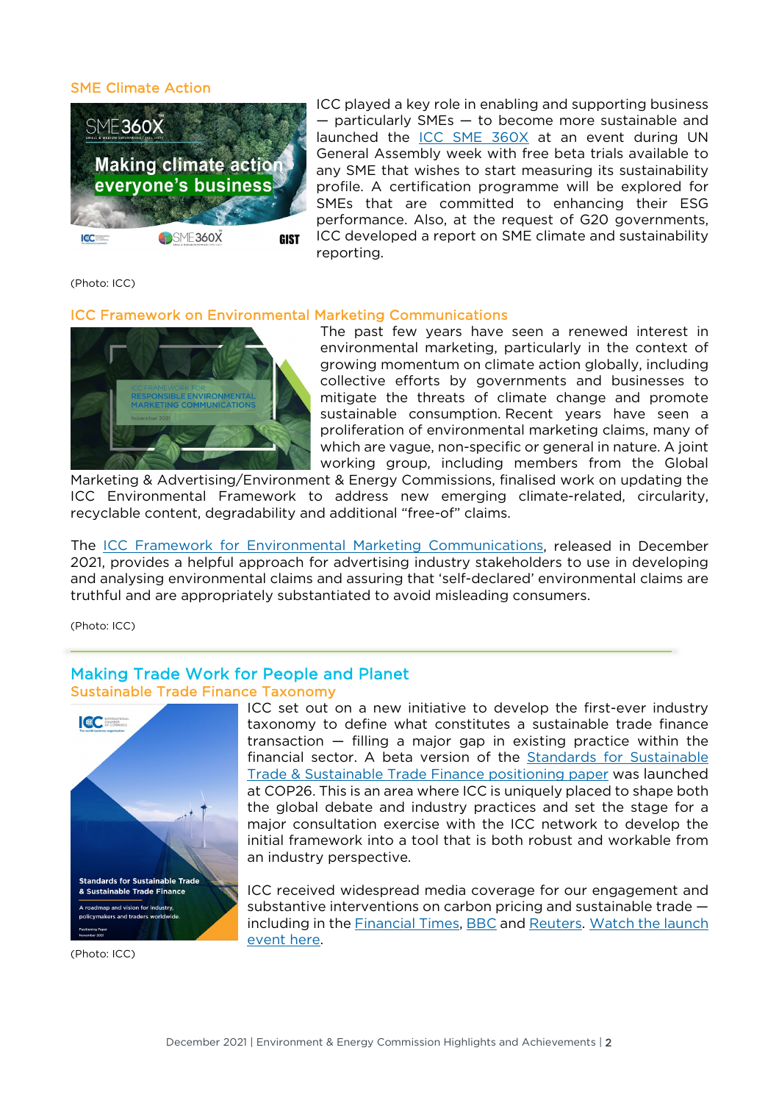#### SME Climate Action



ICC played a key role in enabling and supporting business — particularly SMEs — to become more sustainable and launched the [ICC SME 360X](https://iccwbo.org/resources-for-business/small-and-medium-sized-enterprises-smes/icc-sme360x/) at an event during UN General Assembly week with free beta trials available to any SME that wishes to start measuring its sustainability profile. A certification programme will be explored for SMEs that are committed to enhancing their ESG performance. Also, at the request of G20 governments, ICC developed a report on SME climate and sustainability reporting.

(Photo: ICC)

#### ICC Framework on Environmental Marketing Communications



The past few years have seen a renewed interest in environmental marketing, particularly in the context of growing momentum on climate action globally, including collective efforts by governments and businesses to mitigate the threats of climate change and promote sustainable consumption. Recent years have seen a proliferation of environmental marketing claims, many of which are vague, non-specific or general in nature. A joint working group, including members from the Global

Marketing & Advertising/Environment & Energy Commissions, finalised work on updating the ICC Environmental Framework to address new emerging climate-related, circularity, recyclable content, degradability and additional "free-of" claims.

The [ICC Framework for Environmental Marketing Communications,](https://iccwbo.org/publication/icc-framework-for-responsible-environmental-marketing-communications-2/) released in December 2021, provides a helpful approach for advertising industry stakeholders to use in developing and analysing environmental claims and assuring that 'self-declared' environmental claims are truthful and are appropriately substantiated to avoid misleading consumers.

(Photo: ICC)

## Making Trade Work for People and Planet Sustainable Trade Finance Taxonomy



(Photo: ICC)

ICC set out on a new initiative to develop the first-ever industry taxonomy to define what constitutes a sustainable trade finance transaction — filling a major gap in existing practice within the financial sector. A beta version of the [Standards for Sustainable](https://app-eu.clickdimensions.com/blob/iccwboorg-avxnt/files/1011202.pdf?m=11/10/2021%2010:54:10%20AM)  [Trade & Sustainable Trade Finance positioning paper](https://app-eu.clickdimensions.com/blob/iccwboorg-avxnt/files/1011202.pdf?m=11/10/2021%2010:54:10%20AM) was launched at COP26. This is an area where ICC is uniquely placed to shape both the global debate and industry practices and set the stage for a major consultation exercise with the ICC network to develop the initial framework into a tool that is both robust and workable from an industry perspective.

ICC received widespread media coverage for our engagement and substantive interventions on carbon pricing and sustainable trade — including in the [Financial Times,](http://email.iccwbo.org/c/6/?T=OTc4Njg0MzY%3AcDEtYjIxMzIyLWRhNjU2NTRjY2NjNjQwODJiNzkzY2M1Mzc5Yjg5Zjk4%3Ac2FuZHJhLmhhbm5pQGljY3diby5vcmc%3AY29udGFjdC1hODcxMTgwOGIwZjhlODExYTk5ZTAwMGQzYWIzOGFiMS05NDI2ZjBhYmIwYmM0ZTdiOTRkMTRlZDVkOGQ1ZmJkOQ%3AZmFsc2U%3AMQ%3A%3AaHR0cHM6Ly9ldXIwMS5zYWZlbGlua3MucHJvdGVjdGlvbi5vdXRsb29rLmNvbS8_dXJsPWh0dHBzJTNBJTJGJTJGd3d3LmZ0LmNvbSUyRmNvbnRlbnQlMkZhMGMwMWEzMy1mZGEzLTQ5MTgtYmVhZC1kYmE2MTI2NWVjNDgmZGF0YT0wNCU3QzAxJTdDTmVsc29uLlJPREUlNDBpY2N3Ym8ub3JnJTdDNWM0ZTQyOWQzODZhNDMwZWNjMDMwOGQ5YWE2ZDAxYjclN0NjNTQxYTNjNjUyMGI0OWNlODIyMDIyMjhhYzdjMzYyNiU3QzAlN0MwJTdDNjM3NzI4MjA3NDYxNzg4NjY4JTdDVW5rbm93biU3Q1RXRnBiR1pzYjNkOGV5SldJam9pTUM0d0xqQXdNREFpTENKUUlqb2lWMmx1TXpJaUxDSkJUaUk2SWsxaGFXd2lMQ0pYVkNJNk1uMCUzRCU3QzMwMDAmc2RhdGE9JTJCcG9WZFhZJTJCS3BaZmpPR0dHNnM0V0lTVmVvdiUyRm1JcUFlblRseWhSSFRXOCUzRCZyZXNlcnZlZD0wJl9jbGRlZT1jMkZ1WkhKaExtaGhibTVwUUdsalkzZGlieTV2Y21jJTNkJnJlY2lwaWVudGlkPWNvbnRhY3QtYTg3MTE4MDhiMGY4ZTgxMWE5OWUwMDBkM2FiMzhhYjEtOTQyNmYwYWJiMGJjNGU3Yjk0ZDE0ZWQ1ZDhkNWZiZDkmZXNpZD02NzI5YmRiMC00YTQ4LWVjMTEtOGM2Mi0wMDBkM2FiOWI5YTU&K=sKV0uOpzVf90PFj5GU7o1g) [BBC](http://email.iccwbo.org/c/6/?T=OTc4Njg0MzY%3AcDEtYjIxMzIyLWRhNjU2NTRjY2NjNjQwODJiNzkzY2M1Mzc5Yjg5Zjk4%3Ac2FuZHJhLmhhbm5pQGljY3diby5vcmc%3AY29udGFjdC1hODcxMTgwOGIwZjhlODExYTk5ZTAwMGQzYWIzOGFiMS05NDI2ZjBhYmIwYmM0ZTdiOTRkMTRlZDVkOGQ1ZmJkOQ%3AZmFsc2U%3AMg%3A%3AaHR0cHM6Ly9ldXIwMS5zYWZlbGlua3MucHJvdGVjdGlvbi5vdXRsb29rLmNvbS8_dXJsPWh0dHBzJTNBJTJGJTJGd3d3LmJiYy5jby51ayUyRnNvdW5kcyUyRnBsYXklMkZ3MTcyeHYyemN0enluZzUlM0ZfY2xkZWUlM0RaR0YzYmk1amFHRnlaRzl1Ym1Gc1FHbGpZM2RpYnk1dmNtYyUyNTNkJTI2cmVjaXBpZW50aWQlM0Rjb250YWN0LTAyNzIxODA4YjBmOGU4MTFhOTllMDAwZDNhYjM4YWIxLTU5YWJjODM3NmYxYjQyZDc4M2RkYjA4YzFhZDA1OWQ2JTI2ZXNpZCUzRGU2ZTNiYzQ2LWM0NDMtZWMxMS04YzYyLTAwMGQzYWI4N2FhYyZkYXRhPTA0JTdDMDElN0NOZWxzb24uUk9ERSU0MGljY3diby5vcmclN0M1YzRlNDI5ZDM4NmE0MzBlY2MwMzA4ZDlhYTZkMDFiNyU3Q2M1NDFhM2M2NTIwYjQ5Y2U4MjIwMjIyOGFjN2MzNjI2JTdDMCU3QzAlN0M2Mzc3MjgyMDc0NjE3ODg2NjglN0NVbmtub3duJTdDVFdGcGJHWnNiM2Q4ZXlKV0lqb2lNQzR3TGpBd01EQWlMQ0pRSWpvaVYybHVNeklpTENKQlRpSTZJazFoYVd3aUxDSlhWQ0k2TW4wJTNEJTdDMzAwMCZzZGF0YT1SNUZnY2JiSUpiRUFkTmwlMkYyUXNtTEgwR1VjcVR2MiUyQmNGeFJyYXNVcjBzYyUzRCZyZXNlcnZlZD0wJl9jbGRlZT1jMkZ1WkhKaExtaGhibTVwUUdsalkzZGlieTV2Y21jJTNkJnJlY2lwaWVudGlkPWNvbnRhY3QtYTg3MTE4MDhiMGY4ZTgxMWE5OWUwMDBkM2FiMzhhYjEtOTQyNmYwYWJiMGJjNGU3Yjk0ZDE0ZWQ1ZDhkNWZiZDkmZXNpZD02NzI5YmRiMC00YTQ4LWVjMTEtOGM2Mi0wMDBkM2FiOWI5YTU&K=M8IfbQEk8jA7wssGzGkrKA) and [Reuters.](http://email.iccwbo.org/c/6/?T=OTc4Njg0MzY%3AcDEtYjIxMzIyLWRhNjU2NTRjY2NjNjQwODJiNzkzY2M1Mzc5Yjg5Zjk4%3Ac2FuZHJhLmhhbm5pQGljY3diby5vcmc%3AY29udGFjdC1hODcxMTgwOGIwZjhlODExYTk5ZTAwMGQzYWIzOGFiMS05NDI2ZjBhYmIwYmM0ZTdiOTRkMTRlZDVkOGQ1ZmJkOQ%3AZmFsc2U%3AMw%3A%3AaHR0cHM6Ly9ldXIwMS5zYWZlbGlua3MucHJvdGVjdGlvbi5vdXRsb29rLmNvbS8_dXJsPWh0dHBzJTNBJTJGJTJGd3d3LnJldXRlcnMuY29tJTJGYnVzaW5lc3MlMkZjb3AlMkZpY2MtcHJvcG9zZXMtZmlyc3QtZ2xvYmFsLWZyYW1ld29yay1maW5hbmNpbmctc3VzdGFpbmFibGUtdHJhZGUtMjAyMS0xMS0xMCUyRiUzRl9jbGRlZSUzRFpHRjNiaTVqYUdGeVpHOXVibUZzUUdsalkzZGlieTV2Y21jJTI1M2QlMjZyZWNpcGllbnRpZCUzRGNvbnRhY3QtMDI3MjE4MDhiMGY4ZTgxMWE5OWUwMDBkM2FiMzhhYjEtNTlhYmM4Mzc2ZjFiNDJkNzgzZGRiMDhjMWFkMDU5ZDYlMjZlc2lkJTNEZTZlM2JjNDYtYzQ0My1lYzExLThjNjItMDAwZDNhYjg3YWFjJmRhdGE9MDQlN0MwMSU3Q05lbHNvbi5ST0RFJTQwaWNjd2JvLm9yZyU3QzVjNGU0MjlkMzg2YTQzMGVjYzAzMDhkOWFhNmQwMWI3JTdDYzU0MWEzYzY1MjBiNDljZTgyMjAyMjI4YWM3YzM2MjYlN0MwJTdDMCU3QzYzNzcyODIwNzQ2MTc5ODYyOCU3Q1Vua25vd24lN0NUV0ZwYkdac2IzZDhleUpXSWpvaU1DNHdMakF3TURBaUxDSlFJam9pVjJsdU16SWlMQ0pCVGlJNklrMWhhV3dpTENKWFZDSTZNbjAlM0QlN0MzMDAwJnNkYXRhPTRONlFHWnlGOCUyRlV5Y3J6SVJ2cGM3a0YzRjNxMVlrU1FzeiUyRjROV3hSUklNJTNEJnJlc2VydmVkPTAmX2NsZGVlPWMyRnVaSEpoTG1oaGJtNXBRR2xqWTNkaWJ5NXZjbWMlM2QmcmVjaXBpZW50aWQ9Y29udGFjdC1hODcxMTgwOGIwZjhlODExYTk5ZTAwMGQzYWIzOGFiMS05NDI2ZjBhYmIwYmM0ZTdiOTRkMTRlZDVkOGQ1ZmJkOSZlc2lkPTY3MjliZGIwLTRhNDgtZWMxMS04YzYyLTAwMGQzYWI5YjlhNQ&K=WrCTu_W8krcT-fI4xqrzuQ) Watch the launch [event here.](https://eur01.safelinks.protection.outlook.com/?url=https%3A%2F%2Fwe.tl%2Ft-AalY3VSul7&data=04%7C01%7Csandra.hanni%40iccwbo.org%7C6995b4b048b74c1eee8f08d9d451eb03%7Cc541a3c6520b49ce82202228ac7c3626%7C0%7C0%7C637774270573695178%7CUnknown%7CTWFpbGZsb3d8eyJWIjoiMC4wLjAwMDAiLCJQIjoiV2luMzIiLCJBTiI6Ik1haWwiLCJXVCI6Mn0%3D%7C3000&sdata=YB%2Fd5OHd4rPwuNzbwgbzH9itixgpAoJCXLp6crm1Lgg%3D&reserved=0)